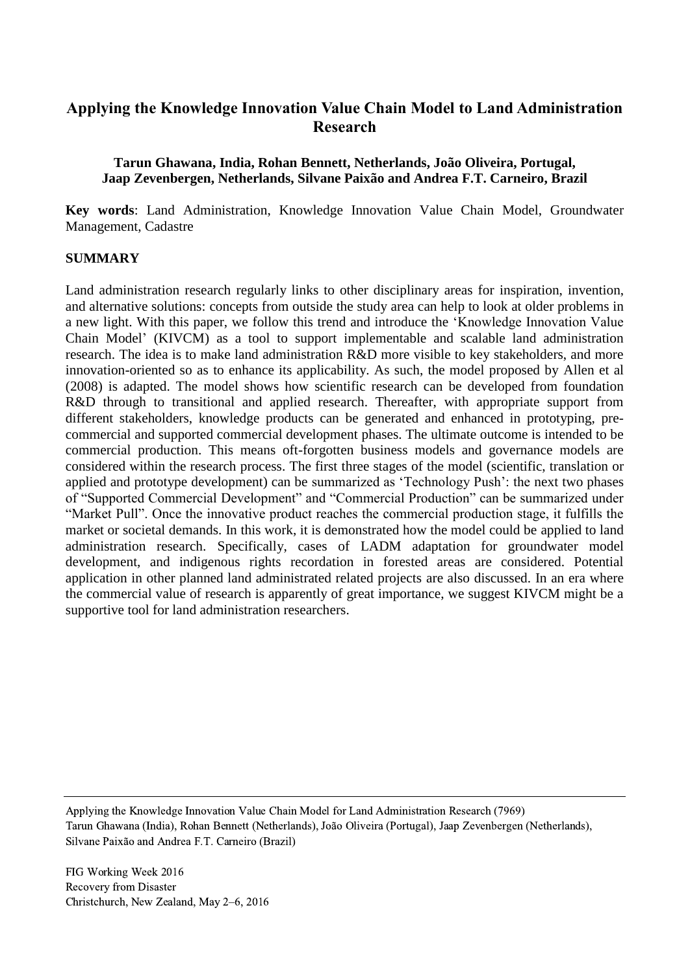# **Applying the Knowledge Innovation Value Chain Model to Land Administration Research**

### **Tarun Ghawana, India, Rohan Bennett, Netherlands, João Oliveira, Portugal, Jaap Zevenbergen, Netherlands, Silvane Paixão and Andrea F.T. Carneiro, Brazil**

**Key words**: Land Administration, Knowledge Innovation Value Chain Model, Groundwater Management, Cadastre

### **SUMMARY**

Land administration research regularly links to other disciplinary areas for inspiration, invention, and alternative solutions: concepts from outside the study area can help to look at older problems in a new light. With this paper, we follow this trend and introduce the 'Knowledge Innovation Value Chain Model' (KIVCM) as a tool to support implementable and scalable land administration research. The idea is to make land administration R&D more visible to key stakeholders, and more innovation-oriented so as to enhance its applicability. As such, the model proposed by Allen et al (2008) is adapted. The model shows how scientific research can be developed from foundation R&D through to transitional and applied research. Thereafter, with appropriate support from different stakeholders, knowledge products can be generated and enhanced in prototyping, precommercial and supported commercial development phases. The ultimate outcome is intended to be commercial production. This means oft-forgotten business models and governance models are considered within the research process. The first three stages of the model (scientific, translation or applied and prototype development) can be summarized as 'Technology Push': the next two phases of "Supported Commercial Development" and "Commercial Production" can be summarized under "Market Pull". Once the innovative product reaches the commercial production stage, it fulfills the market or societal demands. In this work, it is demonstrated how the model could be applied to land administration research. Specifically, cases of LADM adaptation for groundwater model development, and indigenous rights recordation in forested areas are considered. Potential application in other planned land administrated related projects are also discussed. In an era where the commercial value of research is apparently of great importance, we suggest KIVCM might be a supportive tool for land administration researchers.

Applying the Knowledge Innovation Value Chain Model for Land Administration Research (7969) Tarun Ghawana (India), Rohan Bennett (Netherlands), João Oliveira (Portugal), Jaap Zevenbergen (Netherlands), Silvane Paixão and Andrea F.T. Carneiro (Brazil)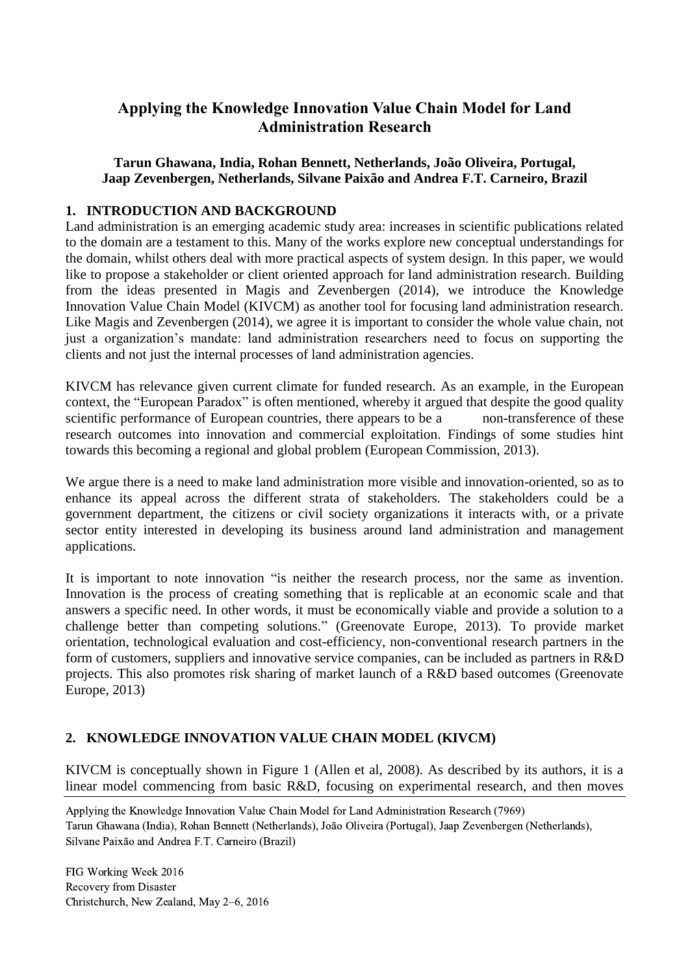# **Applying the Knowledge Innovation Value Chain Model for Land Administration Research**

### **Tarun Ghawana, India, Rohan Bennett, Netherlands, João Oliveira, Portugal, Jaap Zevenbergen, Netherlands, Silvane Paixão and Andrea F.T. Carneiro, Brazil**

## **1. INTRODUCTION AND BACKGROUND**

Land administration is an emerging academic study area: increases in scientific publications related to the domain are a testament to this. Many of the works explore new conceptual understandings for the domain, whilst others deal with more practical aspects of system design. In this paper, we would like to propose a stakeholder or client oriented approach for land administration research. Building from the ideas presented in Magis and Zevenbergen (2014), we introduce the Knowledge Innovation Value Chain Model (KIVCM) as another tool for focusing land administration research. Like Magis and Zevenbergen (2014), we agree it is important to consider the whole value chain, not just a organization's mandate: land administration researchers need to focus on supporting the clients and not just the internal processes of land administration agencies.

KIVCM has relevance given current climate for funded research. As an example, in the European context, the "European Paradox" is often mentioned, whereby it argued that despite the good quality scientific performance of European countries, there appears to be a non-transference of these research outcomes into innovation and commercial exploitation. Findings of some studies hint towards this becoming a regional and global problem (European Commission, 2013).

We argue there is a need to make land administration more visible and innovation-oriented, so as to enhance its appeal across the different strata of stakeholders. The stakeholders could be a government department, the citizens or civil society organizations it interacts with, or a private sector entity interested in developing its business around land administration and management applications.

It is important to note innovation "is neither the research process, nor the same as invention. Innovation is the process of creating something that is replicable at an economic scale and that answers a specific need. In other words, it must be economically viable and provide a solution to a challenge better than competing solutions." (Greenovate Europe, 2013). To provide market orientation, technological evaluation and cost-efficiency, non-conventional research partners in the form of customers, suppliers and innovative service companies, can be included as partners in R&D projects. This also promotes risk sharing of market launch of a R&D based outcomes (Greenovate Europe, 2013)

## **2. KNOWLEDGE INNOVATION VALUE CHAIN MODEL (KIVCM)**

KIVCM is conceptually shown in Figure 1 (Allen et al, 2008). As described by its authors, it is a linear model commencing from basic R&D, focusing on experimental research, and then moves

Applying the Knowledge Innovation Value Chain Model for Land Administration Research (7969) Tarun Ghawana (India), Rohan Bennett (Netherlands), João Oliveira (Portugal), Jaap Zevenbergen (Netherlands), Silvane Paixão and Andrea F.T. Carneiro (Brazil)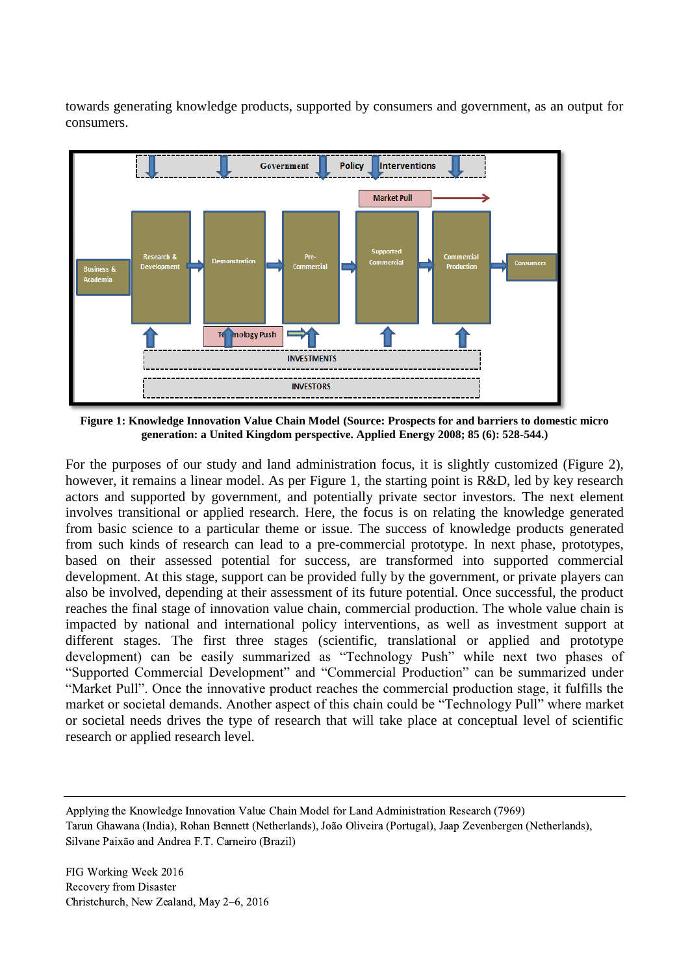towards generating knowledge products, supported by consumers and government, as an output for consumers.



**Figure 1: Knowledge Innovation Value Chain Model (Source: Prospects for and barriers to domestic micro generation: a United Kingdom perspective. Applied Energy 2008; 85 (6): 528-544.)**

For the purposes of our study and land administration focus, it is slightly customized (Figure 2), however, it remains a linear model. As per Figure 1, the starting point is R&D, led by key research actors and supported by government, and potentially private sector investors. The next element involves transitional or applied research. Here, the focus is on relating the knowledge generated from basic science to a particular theme or issue. The success of knowledge products generated from such kinds of research can lead to a pre-commercial prototype. In next phase, prototypes, based on their assessed potential for success, are transformed into supported commercial development. At this stage, support can be provided fully by the government, or private players can also be involved, depending at their assessment of its future potential. Once successful, the product reaches the final stage of innovation value chain, commercial production. The whole value chain is impacted by national and international policy interventions, as well as investment support at different stages. The first three stages (scientific, translational or applied and prototype development) can be easily summarized as "Technology Push" while next two phases of "Supported Commercial Development" and "Commercial Production" can be summarized under "Market Pull". Once the innovative product reaches the commercial production stage, it fulfills the market or societal demands. Another aspect of this chain could be "Technology Pull" where market or societal needs drives the type of research that will take place at conceptual level of scientific research or applied research level.

Applying the Knowledge Innovation Value Chain Model for Land Administration Research (7969) Tarun Ghawana (India), Rohan Bennett (Netherlands), João Oliveira (Portugal), Jaap Zevenbergen (Netherlands), Silvane Paixão and Andrea F.T. Carneiro (Brazil)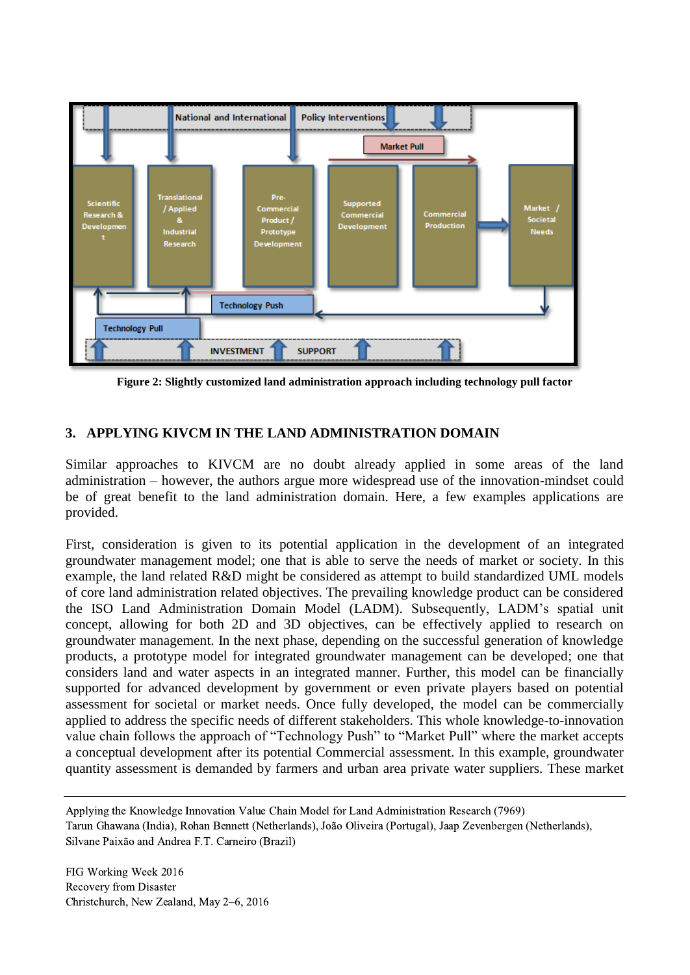

**Figure 2: Slightly customized land administration approach including technology pull factor**

## **3. APPLYING KIVCM IN THE LAND ADMINISTRATION DOMAIN**

Similar approaches to KIVCM are no doubt already applied in some areas of the land administration – however, the authors argue more widespread use of the innovation-mindset could be of great benefit to the land administration domain. Here, a few examples applications are provided.

First, consideration is given to its potential application in the development of an integrated groundwater management model; one that is able to serve the needs of market or society. In this example, the land related R&D might be considered as attempt to build standardized UML models of core land administration related objectives. The prevailing knowledge product can be considered the ISO Land Administration Domain Model (LADM). Subsequently, LADM's spatial unit concept, allowing for both 2D and 3D objectives, can be effectively applied to research on groundwater management. In the next phase, depending on the successful generation of knowledge products, a prototype model for integrated groundwater management can be developed; one that considers land and water aspects in an integrated manner. Further, this model can be financially supported for advanced development by government or even private players based on potential assessment for societal or market needs. Once fully developed, the model can be commercially applied to address the specific needs of different stakeholders. This whole knowledge-to-innovation value chain follows the approach of "Technology Push" to "Market Pull" where the market accepts a conceptual development after its potential Commercial assessment. In this example, groundwater quantity assessment is demanded by farmers and urban area private water suppliers. These market

Applying the Knowledge Innovation Value Chain Model for Land Administration Research (7969) Tarun Ghawana (India), Rohan Bennett (Netherlands), João Oliveira (Portugal), Jaap Zevenbergen (Netherlands), Silvane Paixão and Andrea F.T. Carneiro (Brazil)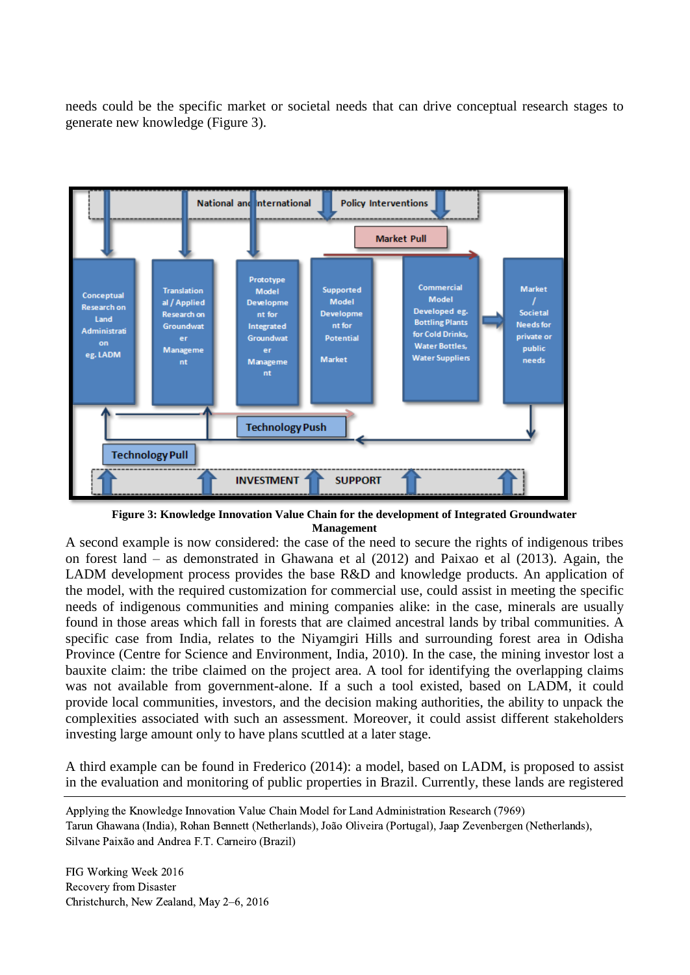needs could be the specific market or societal needs that can drive conceptual research stages to generate new knowledge (Figure 3).



**Figure 3: Knowledge Innovation Value Chain for the development of Integrated Groundwater Management**

A second example is now considered: the case of the need to secure the rights of indigenous tribes on forest land – as demonstrated in Ghawana et al (2012) and Paixao et al (2013). Again, the LADM development process provides the base R&D and knowledge products. An application of the model, with the required customization for commercial use, could assist in meeting the specific needs of indigenous communities and mining companies alike: in the case, minerals are usually found in those areas which fall in forests that are claimed ancestral lands by tribal communities. A specific case from India, relates to the Niyamgiri Hills and surrounding forest area in Odisha Province (Centre for Science and Environment, India, 2010). In the case, the mining investor lost a bauxite claim: the tribe claimed on the project area. A tool for identifying the overlapping claims was not available from government-alone. If a such a tool existed, based on LADM, it could provide local communities, investors, and the decision making authorities, the ability to unpack the complexities associated with such an assessment. Moreover, it could assist different stakeholders investing large amount only to have plans scuttled at a later stage.

A third example can be found in Frederico (2014): a model, based on LADM, is proposed to assist in the evaluation and monitoring of public properties in Brazil. Currently, these lands are registered

Applying the Knowledge Innovation Value Chain Model for Land Administration Research (7969) Tarun Ghawana (India), Rohan Bennett (Netherlands), João Oliveira (Portugal), Jaap Zevenbergen (Netherlands), Silvane Paixão and Andrea F.T. Carneiro (Brazil)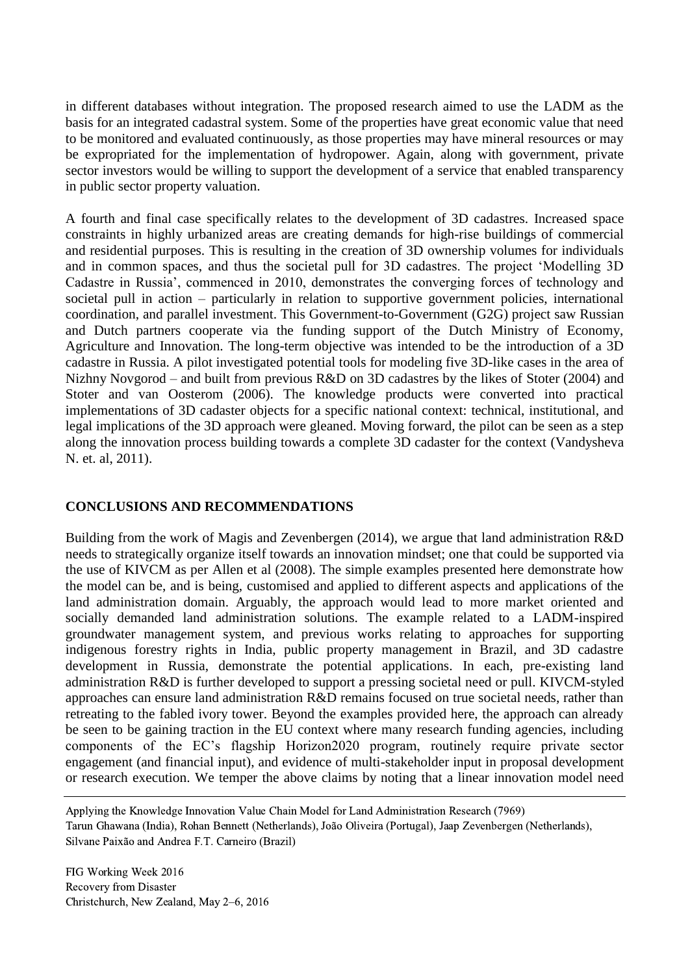in different databases without integration. The proposed research aimed to use the LADM as the basis for an integrated cadastral system. Some of the properties have great economic value that need to be monitored and evaluated continuously, as those properties may have mineral resources or may be expropriated for the implementation of hydropower. Again, along with government, private sector investors would be willing to support the development of a service that enabled transparency in public sector property valuation.

A fourth and final case specifically relates to the development of 3D cadastres. Increased space constraints in highly urbanized areas are creating demands for high-rise buildings of commercial and residential purposes. This is resulting in the creation of 3D ownership volumes for individuals and in common spaces, and thus the societal pull for 3D cadastres. The project 'Modelling 3D Cadastre in Russia', commenced in 2010, demonstrates the converging forces of technology and societal pull in action – particularly in relation to supportive government policies, international coordination, and parallel investment. This Government-to-Government (G2G) project saw Russian and Dutch partners cooperate via the funding support of the Dutch Ministry of Economy, Agriculture and Innovation. The long-term objective was intended to be the introduction of a 3D cadastre in Russia. A pilot investigated potential tools for modeling five 3D-like cases in the area of Nizhny Novgorod – and built from previous R&D on 3D cadastres by the likes of Stoter (2004) and Stoter and van Oosterom (2006). The knowledge products were converted into practical implementations of 3D cadaster objects for a specific national context: technical, institutional, and legal implications of the 3D approach were gleaned. Moving forward, the pilot can be seen as a step along the innovation process building towards a complete 3D cadaster for the context (Vandysheva N. et. al, 2011).

### **CONCLUSIONS AND RECOMMENDATIONS**

Building from the work of Magis and Zevenbergen (2014), we argue that land administration R&D needs to strategically organize itself towards an innovation mindset; one that could be supported via the use of KIVCM as per Allen et al (2008). The simple examples presented here demonstrate how the model can be, and is being, customised and applied to different aspects and applications of the land administration domain. Arguably, the approach would lead to more market oriented and socially demanded land administration solutions. The example related to a LADM-inspired groundwater management system, and previous works relating to approaches for supporting indigenous forestry rights in India, public property management in Brazil, and 3D cadastre development in Russia, demonstrate the potential applications. In each, pre-existing land administration R&D is further developed to support a pressing societal need or pull. KIVCM-styled approaches can ensure land administration R&D remains focused on true societal needs, rather than retreating to the fabled ivory tower. Beyond the examples provided here, the approach can already be seen to be gaining traction in the EU context where many research funding agencies, including components of the EC's flagship Horizon2020 program, routinely require private sector engagement (and financial input), and evidence of multi-stakeholder input in proposal development or research execution. We temper the above claims by noting that a linear innovation model need

Applying the Knowledge Innovation Value Chain Model for Land Administration Research (7969) Tarun Ghawana (India), Rohan Bennett (Netherlands), João Oliveira (Portugal), Jaap Zevenbergen (Netherlands), Silvane Paixão and Andrea F.T. Carneiro (Brazil)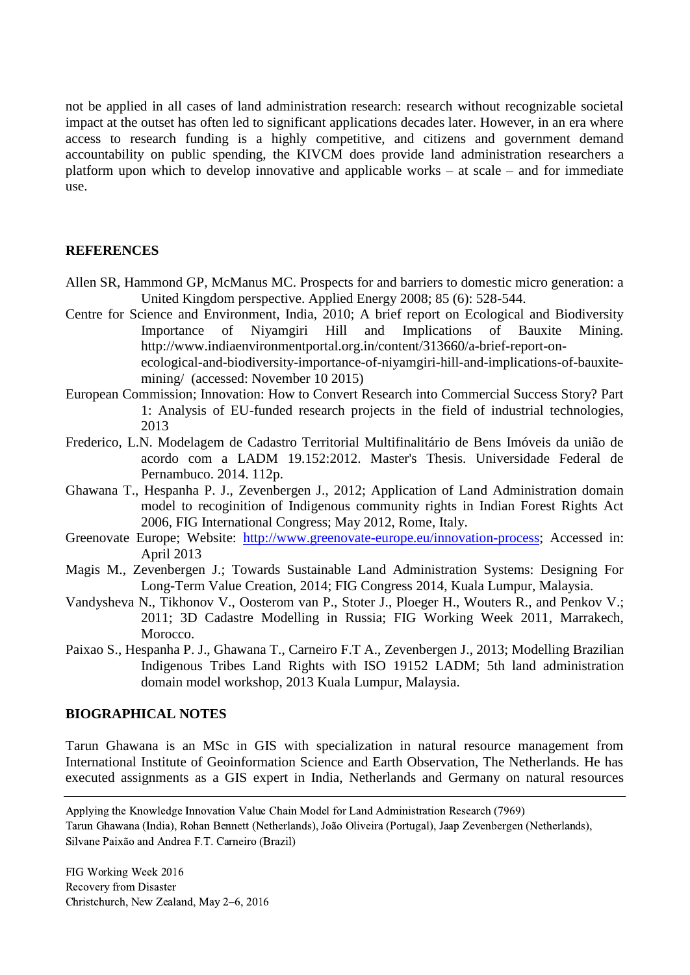not be applied in all cases of land administration research: research without recognizable societal impact at the outset has often led to significant applications decades later. However, in an era where access to research funding is a highly competitive, and citizens and government demand accountability on public spending, the KIVCM does provide land administration researchers a platform upon which to develop innovative and applicable works – at scale – and for immediate use.

### **REFERENCES**

- Allen SR, Hammond GP, McManus MC. Prospects for and barriers to domestic micro generation: a United Kingdom perspective. Applied Energy 2008; 85 (6): 528-544.
- Centre for Science and Environment, India, 2010; A brief report on Ecological and Biodiversity Importance of Niyamgiri Hill and Implications of Bauxite Mining. http://www.indiaenvironmentportal.org.in/content/313660/a-brief-report-onecological-and-biodiversity-importance-of-niyamgiri-hill-and-implications-of-bauxitemining/ (accessed: November 10 2015)
- European Commission; Innovation: How to Convert Research into Commercial Success Story? Part 1: Analysis of EU-funded research projects in the field of industrial technologies, 2013
- Frederico, L.N. Modelagem de Cadastro Territorial Multifinalitário de Bens Imóveis da união de acordo com a LADM 19.152:2012. Master's Thesis. Universidade Federal de Pernambuco. 2014. 112p.
- Ghawana T., Hespanha P. J., Zevenbergen J., 2012; Application of Land Administration domain model to recoginition of Indigenous community rights in Indian Forest Rights Act 2006, FIG International Congress; May 2012, Rome, Italy.
- Greenovate Europe; Website: [http://www.greenovate-europe.eu/innovation-process;](http://www.greenovate-europe.eu/innovation-process) Accessed in: April 2013
- Magis M., Zevenbergen J.; Towards Sustainable Land Administration Systems: Designing For Long-Term Value Creation, 2014; FIG Congress 2014, Kuala Lumpur, Malaysia.
- Vandysheva N., Tikhonov V., Oosterom van P., Stoter J., Ploeger H., Wouters R., and Penkov V.; 2011; 3D Cadastre Modelling in Russia; FIG Working Week 2011, Marrakech, Morocco.
- Paixao S., Hespanha P. J., Ghawana T., Carneiro F.T A., Zevenbergen J., 2013; Modelling Brazilian Indigenous Tribes Land Rights with ISO 19152 LADM; 5th land administration domain model workshop, 2013 Kuala Lumpur, Malaysia.

#### **BIOGRAPHICAL NOTES**

Tarun Ghawana is an MSc in GIS with specialization in natural resource management from International Institute of Geoinformation Science and Earth Observation, The Netherlands. He has executed assignments as a GIS expert in India, Netherlands and Germany on natural resources

Applying the Knowledge Innovation Value Chain Model for Land Administration Research (7969) Tarun Ghawana (India), Rohan Bennett (Netherlands), João Oliveira (Portugal), Jaap Zevenbergen (Netherlands), Silvane Paixão and Andrea F.T. Carneiro (Brazil)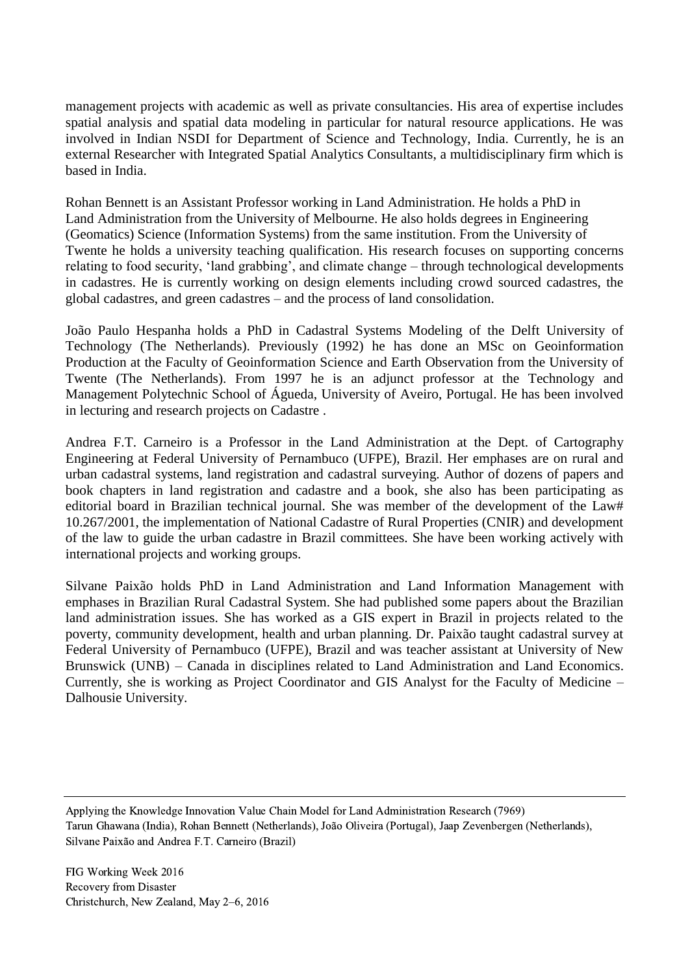management projects with academic as well as private consultancies. His area of expertise includes spatial analysis and spatial data modeling in particular for natural resource applications. He was involved in Indian NSDI for Department of Science and Technology, India. Currently, he is an external Researcher with Integrated Spatial Analytics Consultants, a multidisciplinary firm which is based in India.

Rohan Bennett is an Assistant Professor working in Land Administration. He holds a PhD in Land Administration from the University of Melbourne. He also holds degrees in Engineering (Geomatics) Science (Information Systems) from the same institution. From the University of Twente he holds a university teaching qualification. His research focuses on supporting concerns relating to food security, 'land grabbing', and climate change – through technological developments in cadastres. He is currently working on design elements including crowd sourced cadastres, the global cadastres, and green cadastres – and the process of land consolidation.

João Paulo Hespanha holds a PhD in Cadastral Systems Modeling of the Delft University of Technology (The Netherlands). Previously (1992) he has done an MSc on Geoinformation Production at the Faculty of Geoinformation Science and Earth Observation from the University of Twente (The Netherlands). From 1997 he is an adjunct professor at the Technology and Management Polytechnic School of Águeda, University of Aveiro, Portugal. He has been involved in lecturing and research projects on Cadastre .

Andrea F.T. Carneiro is a Professor in the Land Administration at the Dept. of Cartography Engineering at Federal University of Pernambuco (UFPE), Brazil. Her emphases are on rural and urban cadastral systems, land registration and cadastral surveying. Author of dozens of papers and book chapters in land registration and cadastre and a book, she also has been participating as editorial board in Brazilian technical journal. She was member of the development of the Law# 10.267/2001, the implementation of National Cadastre of Rural Properties (CNIR) and development of the law to guide the urban cadastre in Brazil committees. She have been working actively with international projects and working groups.

Silvane Paixão holds PhD in Land Administration and Land Information Management with emphases in Brazilian Rural Cadastral System. She had published some papers about the Brazilian land administration issues. She has worked as a GIS expert in Brazil in projects related to the poverty, community development, health and urban planning. Dr. Paixão taught cadastral survey at Federal University of Pernambuco (UFPE), Brazil and was teacher assistant at University of New Brunswick (UNB) – Canada in disciplines related to Land Administration and Land Economics. Currently, she is working as Project Coordinator and GIS Analyst for the Faculty of Medicine – Dalhousie University.

Applying the Knowledge Innovation Value Chain Model for Land Administration Research (7969) Tarun Ghawana (India), Rohan Bennett (Netherlands), João Oliveira (Portugal), Jaap Zevenbergen (Netherlands), Silvane Paixão and Andrea F.T. Carneiro (Brazil)